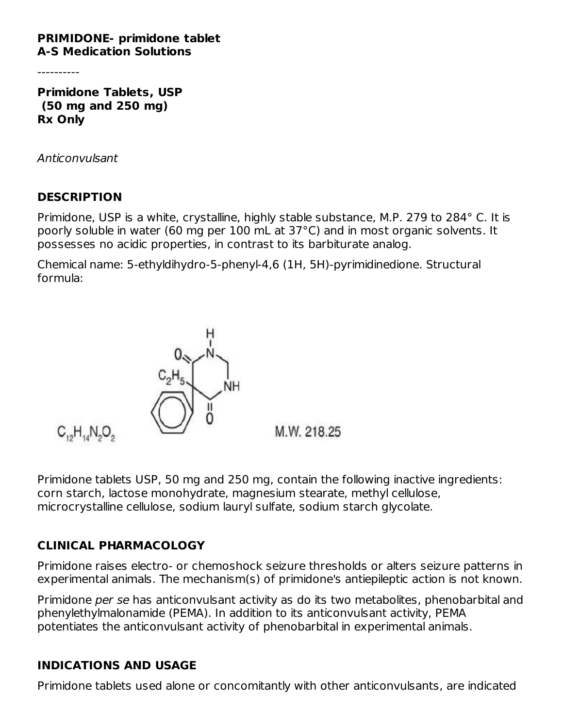#### **PRIMIDONE- primidone tablet A-S Medication Solutions**

----------

**Primidone Tablets, USP (50 mg and 250 mg) Rx Only**

Anticonvulsant

#### **DESCRIPTION**

Primidone, USP is a white, crystalline, highly stable substance, M.P. 279 to 284° C. It is poorly soluble in water (60 mg per 100 mL at 37°C) and in most organic solvents. It possesses no acidic properties, in contrast to its barbiturate analog.

Chemical name: 5-ethyldihydro-5-phenyl-4,6 (1H, 5H)-pyrimidinedione. Structural formula:



Primidone tablets USP, 50 mg and 250 mg, contain the following inactive ingredients: corn starch, lactose monohydrate, magnesium stearate, methyl cellulose, microcrystalline cellulose, sodium lauryl sulfate, sodium starch glycolate.

#### **CLINICAL PHARMACOLOGY**

Primidone raises electro- or chemoshock seizure thresholds or alters seizure patterns in experimental animals. The mechanism(s) of primidone's antiepileptic action is not known.

Primidone per se has anticonvulsant activity as do its two metabolites, phenobarbital and phenylethylmalonamide (PEMA). In addition to its anticonvulsant activity, PEMA potentiates the anticonvulsant activity of phenobarbital in experimental animals.

#### **INDICATIONS AND USAGE**

Primidone tablets used alone or concomitantly with other anticonvulsants, are indicated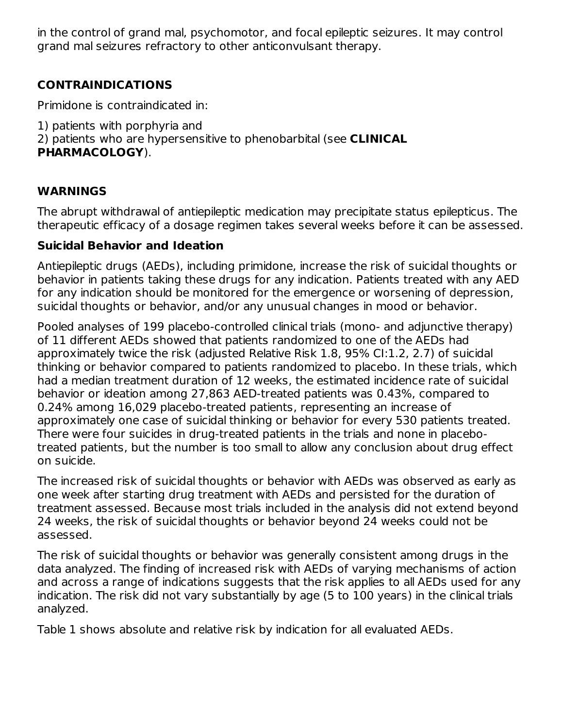in the control of grand mal, psychomotor, and focal epileptic seizures. It may control grand mal seizures refractory to other anticonvulsant therapy.

## **CONTRAINDICATIONS**

Primidone is contraindicated in:

- 1) patients with porphyria and
- 2) patients who are hypersensitive to phenobarbital (see **CLINICAL**

#### **PHARMACOLOGY**).

#### **WARNINGS**

The abrupt withdrawal of antiepileptic medication may precipitate status epilepticus. The therapeutic efficacy of a dosage regimen takes several weeks before it can be assessed.

#### **Suicidal Behavior and Ideation**

Antiepileptic drugs (AEDs), including primidone, increase the risk of suicidal thoughts or behavior in patients taking these drugs for any indication. Patients treated with any AED for any indication should be monitored for the emergence or worsening of depression, suicidal thoughts or behavior, and/or any unusual changes in mood or behavior.

Pooled analyses of 199 placebo-controlled clinical trials (mono- and adjunctive therapy) of 11 different AEDs showed that patients randomized to one of the AEDs had approximately twice the risk (adjusted Relative Risk 1.8, 95% CI:1.2, 2.7) of suicidal thinking or behavior compared to patients randomized to placebo. In these trials, which had a median treatment duration of 12 weeks, the estimated incidence rate of suicidal behavior or ideation among 27,863 AED-treated patients was 0.43%, compared to 0.24% among 16,029 placebo-treated patients, representing an increase of approximately one case of suicidal thinking or behavior for every 530 patients treated. There were four suicides in drug-treated patients in the trials and none in placebotreated patients, but the number is too small to allow any conclusion about drug effect on suicide.

The increased risk of suicidal thoughts or behavior with AEDs was observed as early as one week after starting drug treatment with AEDs and persisted for the duration of treatment assessed. Because most trials included in the analysis did not extend beyond 24 weeks, the risk of suicidal thoughts or behavior beyond 24 weeks could not be assessed.

The risk of suicidal thoughts or behavior was generally consistent among drugs in the data analyzed. The finding of increased risk with AEDs of varying mechanisms of action and across a range of indications suggests that the risk applies to all AEDs used for any indication. The risk did not vary substantially by age (5 to 100 years) in the clinical trials analyzed.

Table 1 shows absolute and relative risk by indication for all evaluated AEDs.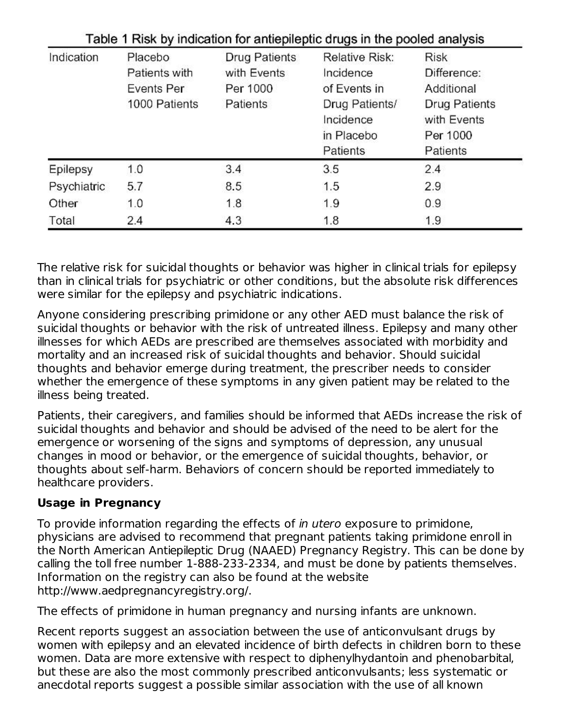| Indication  | Placebo       | <b>Drug Patients</b> | Relative Risk:                                        | <b>Risk</b>                                                 |  |
|-------------|---------------|----------------------|-------------------------------------------------------|-------------------------------------------------------------|--|
|             | Patients with | with Events          | Incidence                                             | Difference:                                                 |  |
|             | Events Per    | Per 1000             | of Events in                                          | Additional                                                  |  |
|             | 1000 Patients | Patients             | Drug Patients/<br>Incidence<br>in Placebo<br>Patients | <b>Drug Patients</b><br>with Events<br>Per 1000<br>Patients |  |
| Epilepsy    | 1.0           | 3.4                  | 3.5                                                   | 2.4                                                         |  |
| Psychiatric | 5.7           | 8.5                  | 1.5                                                   | 2.9                                                         |  |
| Other       | 1.0           | 1.8                  | 1.9                                                   | 0.9                                                         |  |
| Total       | 2.4           | 4.3                  | 1.8                                                   | 1.9                                                         |  |

 $\mathbf{r}$  and  $\mathbf{r}$  are the contraction of the contraction of the contraction of the contraction of the contraction

The relative risk for suicidal thoughts or behavior was higher in clinical trials for epilepsy than in clinical trials for psychiatric or other conditions, but the absolute risk differences were similar for the epilepsy and psychiatric indications.

Anyone considering prescribing primidone or any other AED must balance the risk of suicidal thoughts or behavior with the risk of untreated illness. Epilepsy and many other illnesses for which AEDs are prescribed are themselves associated with morbidity and mortality and an increased risk of suicidal thoughts and behavior. Should suicidal thoughts and behavior emerge during treatment, the prescriber needs to consider whether the emergence of these symptoms in any given patient may be related to the illness being treated.

Patients, their caregivers, and families should be informed that AEDs increase the risk of suicidal thoughts and behavior and should be advised of the need to be alert for the emergence or worsening of the signs and symptoms of depression, any unusual changes in mood or behavior, or the emergence of suicidal thoughts, behavior, or thoughts about self-harm. Behaviors of concern should be reported immediately to healthcare providers.

# **Usage in Pregnancy**

To provide information regarding the effects of in utero exposure to primidone, physicians are advised to recommend that pregnant patients taking primidone enroll in the North American Antiepileptic Drug (NAAED) Pregnancy Registry. This can be done by calling the toll free number 1-888-233-2334, and must be done by patients themselves. Information on the registry can also be found at the website http://www.aedpregnancyregistry.org/.

The effects of primidone in human pregnancy and nursing infants are unknown.

Recent reports suggest an association between the use of anticonvulsant drugs by women with epilepsy and an elevated incidence of birth defects in children born to these women. Data are more extensive with respect to diphenylhydantoin and phenobarbital, but these are also the most commonly prescribed anticonvulsants; less systematic or anecdotal reports suggest a possible similar association with the use of all known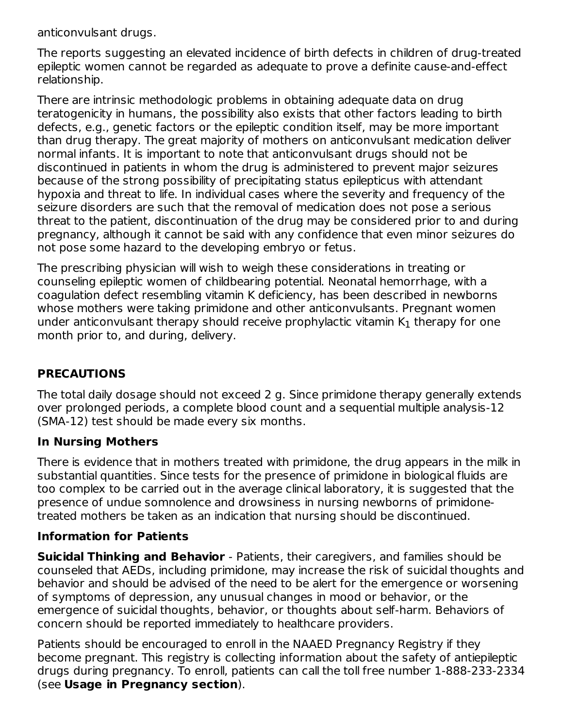anticonvulsant drugs.

The reports suggesting an elevated incidence of birth defects in children of drug-treated epileptic women cannot be regarded as adequate to prove a definite cause-and-effect relationship.

There are intrinsic methodologic problems in obtaining adequate data on drug teratogenicity in humans, the possibility also exists that other factors leading to birth defects, e.g., genetic factors or the epileptic condition itself, may be more important than drug therapy. The great majority of mothers on anticonvulsant medication deliver normal infants. It is important to note that anticonvulsant drugs should not be discontinued in patients in whom the drug is administered to prevent major seizures because of the strong possibility of precipitating status epilepticus with attendant hypoxia and threat to life. In individual cases where the severity and frequency of the seizure disorders are such that the removal of medication does not pose a serious threat to the patient, discontinuation of the drug may be considered prior to and during pregnancy, although it cannot be said with any confidence that even minor seizures do not pose some hazard to the developing embryo or fetus.

The prescribing physician will wish to weigh these considerations in treating or counseling epileptic women of childbearing potential. Neonatal hemorrhage, with a coagulation defect resembling vitamin K deficiency, has been described in newborns whose mothers were taking primidone and other anticonvulsants. Pregnant women under anticonvulsant therapy should receive prophylactic vitamin  $\mathsf{K}_1$  therapy for one month prior to, and during, delivery.

## **PRECAUTIONS**

The total daily dosage should not exceed 2 g. Since primidone therapy generally extends over prolonged periods, a complete blood count and a sequential multiple analysis-12 (SMA-12) test should be made every six months.

#### **In Nursing Mothers**

There is evidence that in mothers treated with primidone, the drug appears in the milk in substantial quantities. Since tests for the presence of primidone in biological fluids are too complex to be carried out in the average clinical laboratory, it is suggested that the presence of undue somnolence and drowsiness in nursing newborns of primidonetreated mothers be taken as an indication that nursing should be discontinued.

#### **Information for Patients**

**Suicidal Thinking and Behavior** - Patients, their caregivers, and families should be counseled that AEDs, including primidone, may increase the risk of suicidal thoughts and behavior and should be advised of the need to be alert for the emergence or worsening of symptoms of depression, any unusual changes in mood or behavior, or the emergence of suicidal thoughts, behavior, or thoughts about self-harm. Behaviors of concern should be reported immediately to healthcare providers.

Patients should be encouraged to enroll in the NAAED Pregnancy Registry if they become pregnant. This registry is collecting information about the safety of antiepileptic drugs during pregnancy. To enroll, patients can call the toll free number 1-888-233-2334 (see **Usage in Pregnancy section**).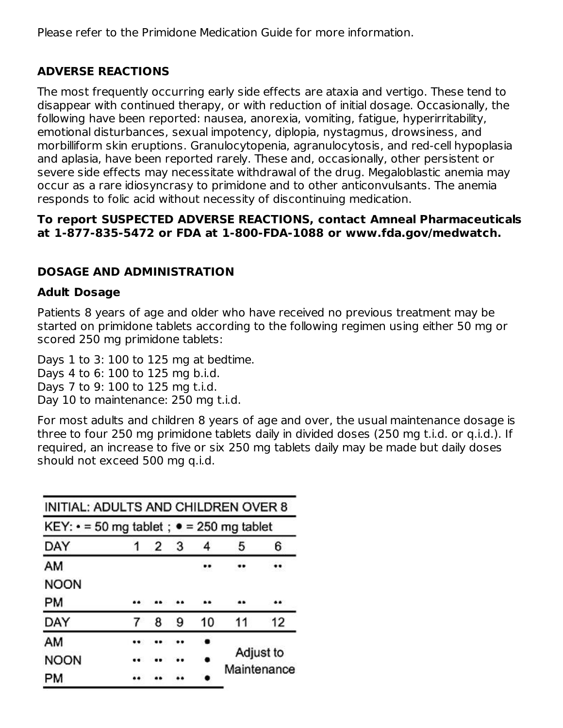Please refer to the Primidone Medication Guide for more information.

## **ADVERSE REACTIONS**

The most frequently occurring early side effects are ataxia and vertigo. These tend to disappear with continued therapy, or with reduction of initial dosage. Occasionally, the following have been reported: nausea, anorexia, vomiting, fatigue, hyperirritability, emotional disturbances, sexual impotency, diplopia, nystagmus, drowsiness, and morbilliform skin eruptions. Granulocytopenia, agranulocytosis, and red-cell hypoplasia and aplasia, have been reported rarely. These and, occasionally, other persistent or severe side effects may necessitate withdrawal of the drug. Megaloblastic anemia may occur as a rare idiosyncrasy to primidone and to other anticonvulsants. The anemia responds to folic acid without necessity of discontinuing medication.

### **To report SUSPECTED ADVERSE REACTIONS, contact Amneal Pharmaceuticals at 1-877-835-5472 or FDA at 1-800-FDA-1088 or www.fda.gov/medwatch.**

## **DOSAGE AND ADMINISTRATION**

## **Adult Dosage**

Patients 8 years of age and older who have received no previous treatment may be started on primidone tablets according to the following regimen using either 50 mg or scored 250 mg primidone tablets:

Days 1 to 3: 100 to 125 mg at bedtime. Days 4 to 6: 100 to 125 mg b.i.d. Days 7 to 9: 100 to 125 mg t.i.d. Day 10 to maintenance: 250 mg t.i.d.

For most adults and children 8 years of age and over, the usual maintenance dosage is three to four 250 mg primidone tablets daily in divided doses (250 mg t.i.d. or q.i.d.). If required, an increase to five or six 250 mg tablets daily may be made but daily doses should not exceed 500 mg q.i.d.

| INITIAL: ADULTS AND CHILDREN OVER 8                    |   |   |    |                          |    |
|--------------------------------------------------------|---|---|----|--------------------------|----|
| KEY: $\cdot$ = 50 mg tablet; $\bullet$ = 250 mg tablet |   |   |    |                          |    |
| DAY                                                    | 2 | 3 | 4  | 5                        | 6  |
| AM                                                     |   |   |    |                          |    |
| <b>NOON</b>                                            |   |   |    |                          |    |
| PМ                                                     |   |   |    |                          |    |
| DAY                                                    | 8 | 9 | 10 | 11                       | 12 |
| AM                                                     |   |   |    | Adjust to<br>Maintenance |    |
| <b>NOON</b>                                            |   |   |    |                          |    |
| PM                                                     |   |   |    |                          |    |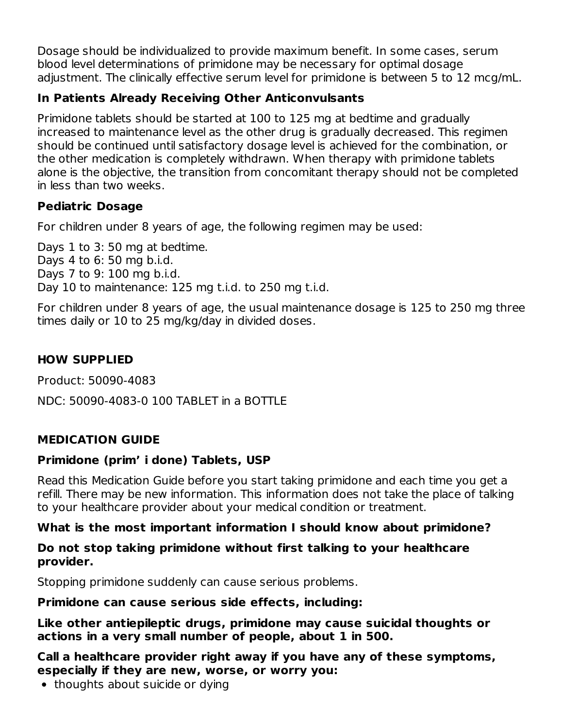Dosage should be individualized to provide maximum benefit. In some cases, serum blood level determinations of primidone may be necessary for optimal dosage adjustment. The clinically effective serum level for primidone is between 5 to 12 mcg/mL.

## **In Patients Already Receiving Other Anticonvulsants**

Primidone tablets should be started at 100 to 125 mg at bedtime and gradually increased to maintenance level as the other drug is gradually decreased. This regimen should be continued until satisfactory dosage level is achieved for the combination, or the other medication is completely withdrawn. When therapy with primidone tablets alone is the objective, the transition from concomitant therapy should not be completed in less than two weeks.

#### **Pediatric Dosage**

For children under 8 years of age, the following regimen may be used:

Days 1 to 3: 50 mg at bedtime. Days 4 to 6: 50 mg b.i.d. Days 7 to 9: 100 mg b.i.d. Day 10 to maintenance: 125 mg t.i.d. to 250 mg t.i.d.

For children under 8 years of age, the usual maintenance dosage is 125 to 250 mg three times daily or 10 to 25 mg/kg/day in divided doses.

## **HOW SUPPLIED**

Product: 50090-4083

NDC: 50090-4083-0 100 TABLET in a BOTTLE

## **MEDICATION GUIDE**

## **Primidone (prim' i done) Tablets, USP**

Read this Medication Guide before you start taking primidone and each time you get a refill. There may be new information. This information does not take the place of talking to your healthcare provider about your medical condition or treatment.

## **What is the most important information I should know about primidone?**

#### **Do not stop taking primidone without first talking to your healthcare provider.**

Stopping primidone suddenly can cause serious problems.

#### **Primidone can cause serious side effects, including:**

**Like other antiepileptic drugs, primidone may cause suicidal thoughts or actions in a very small number of people, about 1 in 500.**

**Call a healthcare provider right away if you have any of these symptoms, especially if they are new, worse, or worry you:**

• thoughts about suicide or dying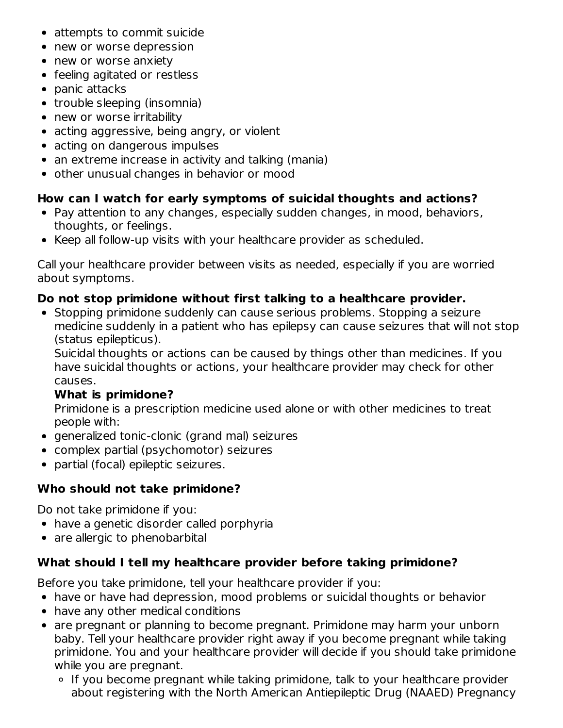- attempts to commit suicide
- new or worse depression
- new or worse anxiety
- feeling agitated or restless
- panic attacks
- trouble sleeping (insomnia)
- new or worse irritability
- acting aggressive, being angry, or violent
- acting on dangerous impulses
- an extreme increase in activity and talking (mania)
- other unusual changes in behavior or mood

## **How can I watch for early symptoms of suicidal thoughts and actions?**

- Pay attention to any changes, especially sudden changes, in mood, behaviors, thoughts, or feelings.
- Keep all follow-up visits with your healthcare provider as scheduled.

Call your healthcare provider between visits as needed, especially if you are worried about symptoms.

## **Do not stop primidone without first talking to a healthcare provider.**

• Stopping primidone suddenly can cause serious problems. Stopping a seizure medicine suddenly in a patient who has epilepsy can cause seizures that will not stop (status epilepticus).

Suicidal thoughts or actions can be caused by things other than medicines. If you have suicidal thoughts or actions, your healthcare provider may check for other causes.

## **What is primidone?**

Primidone is a prescription medicine used alone or with other medicines to treat people with:

- generalized tonic-clonic (grand mal) seizures
- complex partial (psychomotor) seizures
- partial (focal) epileptic seizures.

# **Who should not take primidone?**

Do not take primidone if you:

- have a genetic disorder called porphyria
- are allergic to phenobarbital

## **What should I tell my healthcare provider before taking primidone?**

Before you take primidone, tell your healthcare provider if you:

- have or have had depression, mood problems or suicidal thoughts or behavior
- have any other medical conditions
- are pregnant or planning to become pregnant. Primidone may harm your unborn baby. Tell your healthcare provider right away if you become pregnant while taking primidone. You and your healthcare provider will decide if you should take primidone while you are pregnant.
	- If you become pregnant while taking primidone, talk to your healthcare provider about registering with the North American Antiepileptic Drug (NAAED) Pregnancy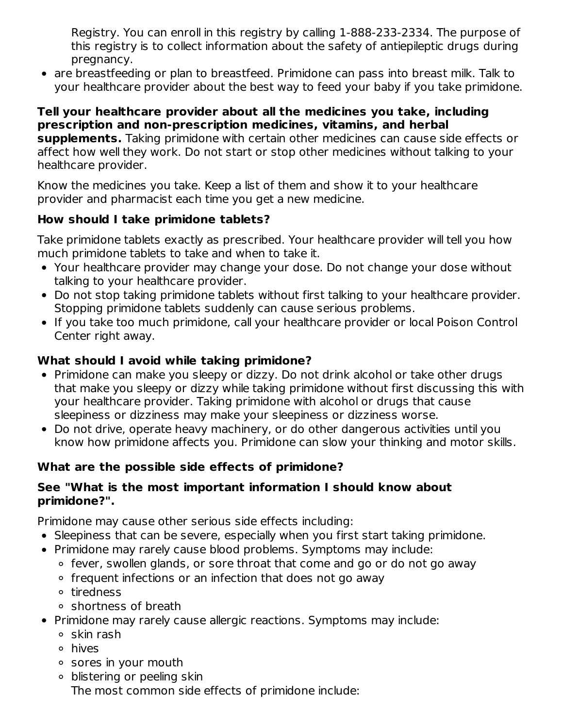Registry. You can enroll in this registry by calling 1-888-233-2334. The purpose of this registry is to collect information about the safety of antiepileptic drugs during pregnancy.

are breastfeeding or plan to breastfeed. Primidone can pass into breast milk. Talk to your healthcare provider about the best way to feed your baby if you take primidone.

#### **Tell your healthcare provider about all the medicines you take, including prescription and non-prescription medicines, vitamins, and herbal**

**supplements.** Taking primidone with certain other medicines can cause side effects or affect how well they work. Do not start or stop other medicines without talking to your healthcare provider.

Know the medicines you take. Keep a list of them and show it to your healthcare provider and pharmacist each time you get a new medicine.

## **How should I take primidone tablets?**

Take primidone tablets exactly as prescribed. Your healthcare provider will tell you how much primidone tablets to take and when to take it.

- Your healthcare provider may change your dose. Do not change your dose without talking to your healthcare provider.
- Do not stop taking primidone tablets without first talking to your healthcare provider. Stopping primidone tablets suddenly can cause serious problems.
- If you take too much primidone, call your healthcare provider or local Poison Control Center right away.

## **What should I avoid while taking primidone?**

- Primidone can make you sleepy or dizzy. Do not drink alcohol or take other drugs that make you sleepy or dizzy while taking primidone without first discussing this with your healthcare provider. Taking primidone with alcohol or drugs that cause sleepiness or dizziness may make your sleepiness or dizziness worse.
- Do not drive, operate heavy machinery, or do other dangerous activities until you know how primidone affects you. Primidone can slow your thinking and motor skills.

## **What are the possible side effects of primidone?**

#### **See "What is the most important information I should know about primidone?".**

Primidone may cause other serious side effects including:

- Sleepiness that can be severe, especially when you first start taking primidone.
- Primidone may rarely cause blood problems. Symptoms may include:
	- ∘ fever, swollen glands, or sore throat that come and go or do not go away
	- frequent infections or an infection that does not go away
	- tiredness
	- shortness of breath
- Primidone may rarely cause allergic reactions. Symptoms may include:
	- $\circ$  skin rash
	- hives
	- sores in your mouth
	- blistering or peeling skin The most common side effects of primidone include: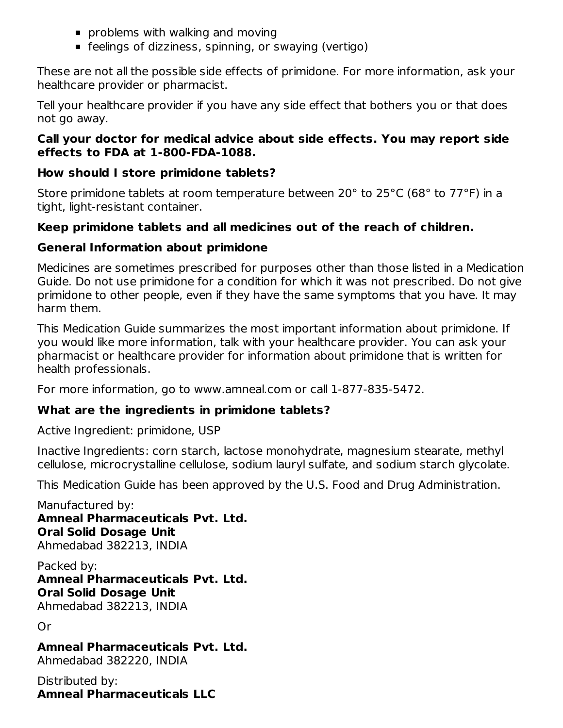- **problems with walking and moving**
- feelings of dizziness, spinning, or swaying (vertigo)

These are not all the possible side effects of primidone. For more information, ask your healthcare provider or pharmacist.

Tell your healthcare provider if you have any side effect that bothers you or that does not go away.

#### **Call your doctor for medical advice about side effects. You may report side effects to FDA at 1-800-FDA-1088.**

#### **How should I store primidone tablets?**

Store primidone tablets at room temperature between 20° to 25°C (68° to 77°F) in a tight, light-resistant container.

#### **Keep primidone tablets and all medicines out of the reach of children.**

#### **General Information about primidone**

Medicines are sometimes prescribed for purposes other than those listed in a Medication Guide. Do not use primidone for a condition for which it was not prescribed. Do not give primidone to other people, even if they have the same symptoms that you have. It may harm them.

This Medication Guide summarizes the most important information about primidone. If you would like more information, talk with your healthcare provider. You can ask your pharmacist or healthcare provider for information about primidone that is written for health professionals.

For more information, go to www.amneal.com or call 1-877-835-5472.

## **What are the ingredients in primidone tablets?**

Active Ingredient: primidone, USP

Inactive Ingredients: corn starch, lactose monohydrate, magnesium stearate, methyl cellulose, microcrystalline cellulose, sodium lauryl sulfate, and sodium starch glycolate.

This Medication Guide has been approved by the U.S. Food and Drug Administration.

Manufactured by: **Amneal Pharmaceuticals Pvt. Ltd. Oral Solid Dosage Unit** Ahmedabad 382213, INDIA

Packed by: **Amneal Pharmaceuticals Pvt. Ltd. Oral Solid Dosage Unit** Ahmedabad 382213, INDIA

Or

**Amneal Pharmaceuticals Pvt. Ltd.** Ahmedabad 382220, INDIA

Distributed by: **Amneal Pharmaceuticals LLC**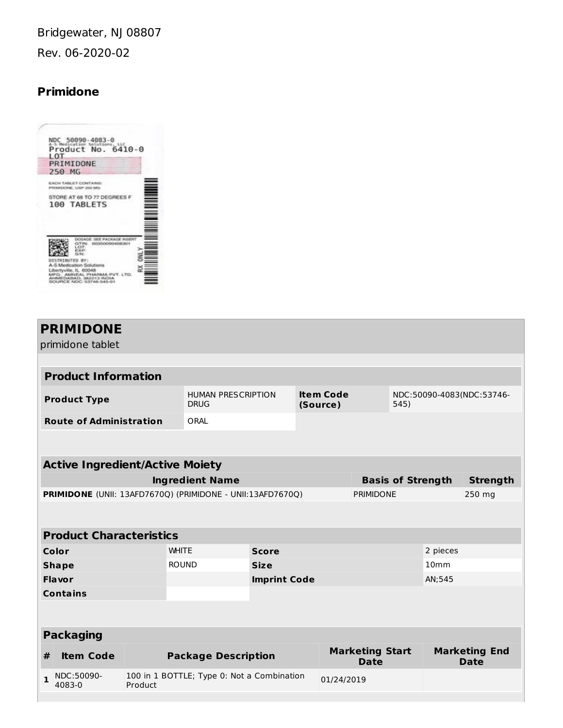Bridgewater, NJ 08807 Rev. 06-2020-02

# **Primidone**

| NDC 50090-4083-0<br>A-5 Medication Solutions, LLC<br>Product No. 6410-0 |  |
|-------------------------------------------------------------------------|--|
| LOT                                                                     |  |
| PRIMIDONE                                                               |  |
| 250 MG                                                                  |  |
| <b>ACH TABLET CONTAINS</b><br>REMEDICINE, LISP 250 MG                   |  |
| STORE AT 68 TO 77 DEGREES<br>100 TABLETS                                |  |
|                                                                         |  |
|                                                                         |  |
| DISTRIBUTED BY:                                                         |  |
| A-S Medication Solutions<br>Libertyville, IL 60048                      |  |
| <b>AHAMEDA</b><br>SOURCE NOC: S3746-545                                 |  |

|                                                                                          | <b>PRIMIDONE</b>                                                                                |         |                                            |                                   |  |            |                                       |                          |  |                                     |
|------------------------------------------------------------------------------------------|-------------------------------------------------------------------------------------------------|---------|--------------------------------------------|-----------------------------------|--|------------|---------------------------------------|--------------------------|--|-------------------------------------|
|                                                                                          | primidone tablet                                                                                |         |                                            |                                   |  |            |                                       |                          |  |                                     |
|                                                                                          |                                                                                                 |         |                                            |                                   |  |            |                                       |                          |  |                                     |
| <b>Product Information</b>                                                               |                                                                                                 |         |                                            |                                   |  |            |                                       |                          |  |                                     |
|                                                                                          | <b>Item Code</b><br><b>HUMAN PRESCRIPTION</b><br><b>Product Type</b><br><b>DRUG</b><br>(Source) |         |                                            | NDC:50090-4083(NDC:53746-<br>545) |  |            |                                       |                          |  |                                     |
|                                                                                          | <b>Route of Administration</b>                                                                  |         | ORAL                                       |                                   |  |            |                                       |                          |  |                                     |
|                                                                                          |                                                                                                 |         |                                            |                                   |  |            |                                       |                          |  |                                     |
|                                                                                          |                                                                                                 |         |                                            |                                   |  |            |                                       |                          |  |                                     |
| <b>Active Ingredient/Active Moiety</b>                                                   |                                                                                                 |         |                                            |                                   |  |            |                                       |                          |  |                                     |
|                                                                                          |                                                                                                 |         | <b>Ingredient Name</b>                     |                                   |  |            |                                       | <b>Basis of Strength</b> |  | <b>Strength</b>                     |
| PRIMIDONE (UNII: 13AFD7670Q) (PRIMIDONE - UNII:13AFD7670Q)<br><b>PRIMIDONE</b><br>250 mg |                                                                                                 |         |                                            |                                   |  |            |                                       |                          |  |                                     |
|                                                                                          |                                                                                                 |         |                                            |                                   |  |            |                                       |                          |  |                                     |
|                                                                                          |                                                                                                 |         |                                            |                                   |  |            |                                       |                          |  |                                     |
|                                                                                          | <b>Product Characteristics</b>                                                                  |         |                                            |                                   |  |            |                                       |                          |  |                                     |
| <b>WHITE</b><br>Color                                                                    |                                                                                                 |         |                                            | <b>Score</b>                      |  |            |                                       | 2 pieces                 |  |                                     |
|                                                                                          | <b>Shape</b>                                                                                    |         | <b>ROUND</b>                               | <b>Size</b>                       |  |            | 10 <sub>mm</sub>                      |                          |  |                                     |
|                                                                                          | <b>Flavor</b>                                                                                   |         |                                            | <b>Imprint Code</b>               |  |            | AN:545                                |                          |  |                                     |
|                                                                                          | <b>Contains</b>                                                                                 |         |                                            |                                   |  |            |                                       |                          |  |                                     |
|                                                                                          |                                                                                                 |         |                                            |                                   |  |            |                                       |                          |  |                                     |
|                                                                                          |                                                                                                 |         |                                            |                                   |  |            |                                       |                          |  |                                     |
| <b>Packaging</b>                                                                         |                                                                                                 |         |                                            |                                   |  |            |                                       |                          |  |                                     |
| #                                                                                        | <b>Item Code</b>                                                                                |         | <b>Package Description</b>                 |                                   |  |            | <b>Marketing Start</b><br><b>Date</b> |                          |  | <b>Marketing End</b><br><b>Date</b> |
|                                                                                          | NDC:50090-<br>4083-0                                                                            | Product | 100 in 1 BOTTLE; Type 0: Not a Combination |                                   |  | 01/24/2019 |                                       |                          |  |                                     |
|                                                                                          |                                                                                                 |         |                                            |                                   |  |            |                                       |                          |  |                                     |